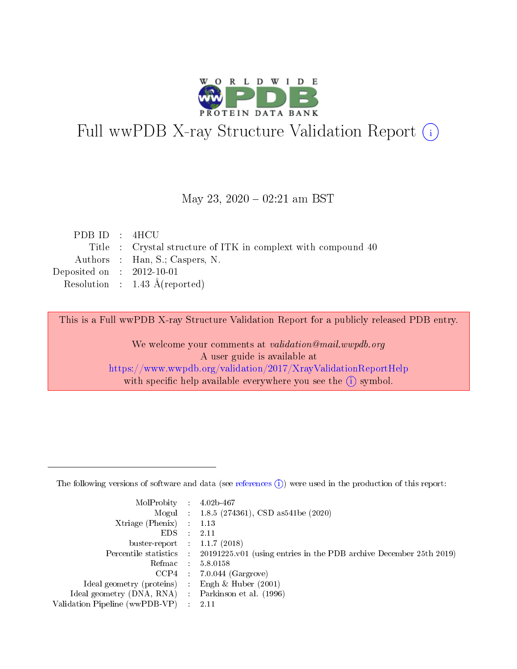

# Full wwPDB X-ray Structure Validation Report (i)

#### May 23,  $2020 - 02:21$  am BST

| PDB ID : 4HCU               |                                                               |
|-----------------------------|---------------------------------------------------------------|
|                             | Title : Crystal structure of ITK in complext with compound 40 |
|                             | Authors : Han, S.; Caspers, N.                                |
| Deposited on : $2012-10-01$ |                                                               |
|                             | Resolution : $1.43 \text{ Å}$ (reported)                      |
|                             |                                                               |

This is a Full wwPDB X-ray Structure Validation Report for a publicly released PDB entry.

We welcome your comments at validation@mail.wwpdb.org A user guide is available at <https://www.wwpdb.org/validation/2017/XrayValidationReportHelp> with specific help available everywhere you see the  $(i)$  symbol.

The following versions of software and data (see [references](https://www.wwpdb.org/validation/2017/XrayValidationReportHelp#references)  $(1)$ ) were used in the production of this report:

| MolProbity :                   |               | $4.02b - 467$                                                                |
|--------------------------------|---------------|------------------------------------------------------------------------------|
|                                |               | Mogul : 1.8.5 (274361), CSD as 541be (2020)                                  |
| $X$ triage (Phenix) :          |               | 1.13                                                                         |
| EDS.                           |               | 2.11                                                                         |
| buster-report : $1.1.7$ (2018) |               |                                                                              |
| Percentile statistics :        |               | $20191225 \text{ v}01$ (using entries in the PDB archive December 25th 2019) |
| Refmac :                       |               | 5.8.0158                                                                     |
| $CCP4$ :                       |               | $7.0.044$ (Gargrove)                                                         |
| Ideal geometry (proteins) :    |               | Engh $\&$ Huber (2001)                                                       |
| Ideal geometry (DNA, RNA) :    |               | Parkinson et al. (1996)                                                      |
| Validation Pipeline (wwPDB-VP) | $\mathcal{L}$ | 2.11                                                                         |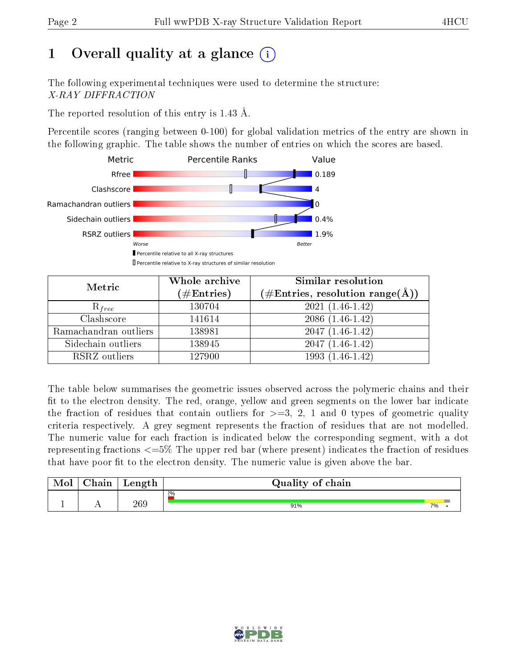## 1 [O](https://www.wwpdb.org/validation/2017/XrayValidationReportHelp#overall_quality)verall quality at a glance  $(i)$

The following experimental techniques were used to determine the structure: X-RAY DIFFRACTION

The reported resolution of this entry is 1.43 Å.

Percentile scores (ranging between 0-100) for global validation metrics of the entry are shown in the following graphic. The table shows the number of entries on which the scores are based.



| Metric                | Whole archive<br>$(\#\mathrm{Entries})$ | Similar resolution<br>$(\#\text{Entries}, \text{resolution range}(\textup{\AA}))$ |  |  |
|-----------------------|-----------------------------------------|-----------------------------------------------------------------------------------|--|--|
| $R_{free}$            | 130704                                  | $2021(1.46-1.42)$                                                                 |  |  |
| Clashscore            | 141614                                  | $2086(1.46-1.42)$                                                                 |  |  |
| Ramachandran outliers | 138981                                  | $2047(1.46-1.42)$                                                                 |  |  |
| Sidechain outliers    | 138945                                  | $2047(1.46-1.42)$                                                                 |  |  |
| RSRZ outliers         | 127900                                  | $1993(1.46-1.42)$                                                                 |  |  |

The table below summarises the geometric issues observed across the polymeric chains and their fit to the electron density. The red, orange, yellow and green segments on the lower bar indicate the fraction of residues that contain outliers for  $>=3, 2, 1$  and 0 types of geometric quality criteria respectively. A grey segment represents the fraction of residues that are not modelled. The numeric value for each fraction is indicated below the corresponding segment, with a dot representing fractions  $\epsilon=5\%$  The upper red bar (where present) indicates the fraction of residues that have poor fit to the electron density. The numeric value is given above the bar.

| Mol | $\cap$ hain | Length | Quality of chain |    |  |  |  |  |  |
|-----|-------------|--------|------------------|----|--|--|--|--|--|
|     |             |        | 2%               |    |  |  |  |  |  |
|     |             | 269    | 91%              | 7% |  |  |  |  |  |

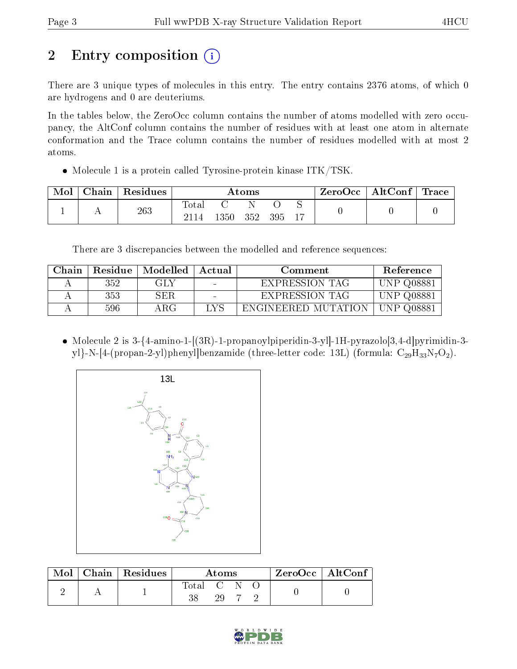## 2 Entry composition (i)

There are 3 unique types of molecules in this entry. The entry contains 2376 atoms, of which 0 are hydrogens and 0 are deuteriums.

In the tables below, the ZeroOcc column contains the number of atoms modelled with zero occupancy, the AltConf column contains the number of residues with at least one atom in alternate conformation and the Trace column contains the number of residues modelled with at most 2 atoms.

• Molecule 1 is a protein called Tyrosine-protein kinase ITK/TSK.

| Mol | Chain | Residues | $\rm{Atoms}$  |      |     |     |  | ZeroOcc | $\vert$ AltConf $\vert$ Trace |  |
|-----|-------|----------|---------------|------|-----|-----|--|---------|-------------------------------|--|
|     |       | 263      | Tota.<br>2114 | 1350 | 352 | 395 |  |         |                               |  |

There are 3 discrepancies between the modelled and reference sequences:

| Chain |     | Residue   Modelled | Actual | Comment               | Reference         |
|-------|-----|--------------------|--------|-----------------------|-------------------|
|       | 352 | GLY                | $\sim$ | EXPRESSION TAG        | <b>UNP Q08881</b> |
|       | 353 | SER.               |        | <b>EXPRESSION TAG</b> | <b>UNP Q08881</b> |
|       | 596 | ARG-               | LYS    | ENGINEERED MUTATION   | UNP Q08881        |

• Molecule 2 is  $3-\{4\}$ -amino-1- $[(3R)$ -1-propanoylpiperidin-3-yl]-1H-pyrazolo $[3,4-d]$ pyrimidin-3yl}-N-[4-(propan-2-yl)phenyl]benzamide (three-letter code: 13L) (formula:  $C_{29}H_{33}N_7O_2$ ).



| Mol | $\mid$ Chain $\mid$ Residues | Atoms     |     |  |  | $ZeroOcc \mid AltConf \mid$ |
|-----|------------------------------|-----------|-----|--|--|-----------------------------|
|     |                              | Total C N | 20. |  |  |                             |

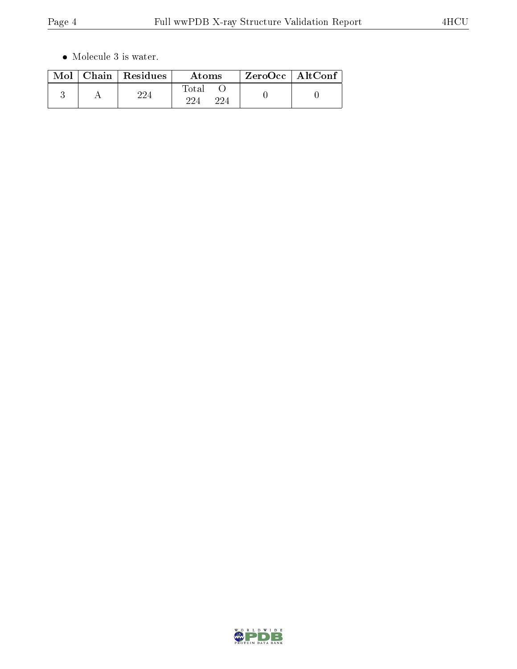$\bullet\,$  Molecule 3 is water.

|  | $Mol$   Chain   Residues | Atoms         | $ZeroOcc \mid AltConf \mid$ |
|--|--------------------------|---------------|-----------------------------|
|  | ດດ⊿                      | Total<br>∕ פר |                             |

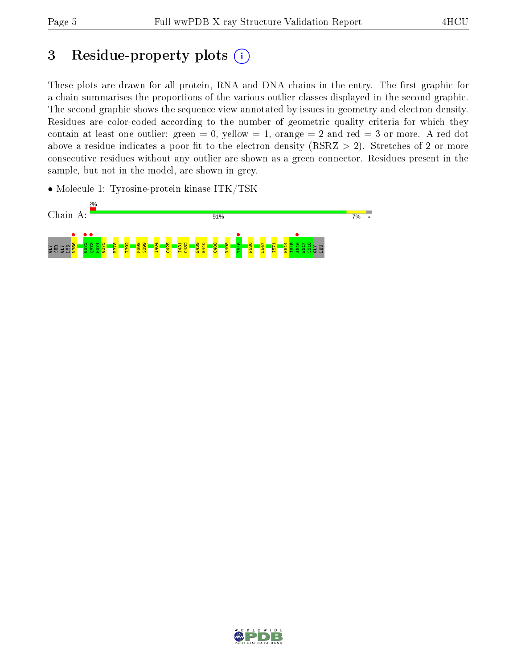## 3 Residue-property plots  $(i)$

These plots are drawn for all protein, RNA and DNA chains in the entry. The first graphic for a chain summarises the proportions of the various outlier classes displayed in the second graphic. The second graphic shows the sequence view annotated by issues in geometry and electron density. Residues are color-coded according to the number of geometric quality criteria for which they contain at least one outlier: green  $= 0$ , yellow  $= 1$ , orange  $= 2$  and red  $= 3$  or more. A red dot above a residue indicates a poor fit to the electron density (RSRZ  $> 2$ ). Stretches of 2 or more consecutive residues without any outlier are shown as a green connector. Residues present in the sample, but not in the model, are shown in grey.

• Molecule 1: Tyrosine-protein kinase ITK/TSK



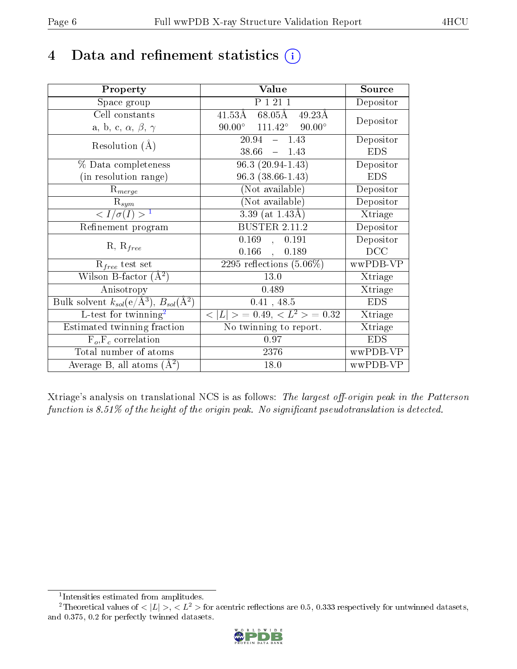## 4 Data and refinement statistics  $(i)$

| Property                                                             | Value                                                    | Source     |
|----------------------------------------------------------------------|----------------------------------------------------------|------------|
| Space group                                                          | P 1 21 1                                                 | Depositor  |
| Cell constants                                                       | $41.53\text{\AA}$ $68.05\text{\AA}$<br>$49.23\text{\AA}$ | Depositor  |
| a, b, c, $\alpha$ , $\beta$ , $\gamma$                               | $90.00^{\circ}$ $111.42^{\circ}$<br>$90.00^\circ$        |            |
| Resolution $(A)$                                                     | 20.94<br>$-1.43$                                         | Depositor  |
|                                                                      | 38.66<br>$-1.43$                                         | <b>EDS</b> |
| % Data completeness                                                  | $96.3(20.94-1.43)$                                       | Depositor  |
| (in resolution range)                                                | $96.3(38.66-1.43)$                                       | <b>EDS</b> |
| $R_{merge}$                                                          | (Not available)                                          | Depositor  |
| $\mathrm{R}_{sym}$                                                   | $(No\bar{t}$ available)                                  | Depositor  |
| $\langle I/\sigma(I)\rangle^{-1}$                                    | $3.39$ (at $1.43\text{\AA}$ )                            | Xtriage    |
| Refinement program                                                   | BUSTER $2.\overline{11.2}$                               | Depositor  |
|                                                                      | 0.169, 0.191                                             | Depositor  |
| $R, R_{free}$                                                        | $0.166$ ,<br>0.189                                       | DCC        |
| $R_{free}$ test set                                                  | 2295 reflections $(5.06\%)$                              | wwPDB-VP   |
| Wilson B-factor $(A^2)$                                              | $13.0\,$                                                 | Xtriage    |
| Anisotropy                                                           | 0.489                                                    | Xtriage    |
| Bulk solvent $k_{sol}(e/\mathring{A}^3)$ , $B_{sol}(\mathring{A}^2)$ | 0.41, 48.5                                               | <b>EDS</b> |
| L-test for twinning <sup>2</sup>                                     | $< L >$ = 0.49, $< L^2 >$ = 0.32                         | Xtriage    |
| Estimated twinning fraction                                          | No twinning to report.                                   | Xtriage    |
| $\overline{F_o}, \overline{F_c}$ correlation                         | 0.97                                                     | <b>EDS</b> |
| Total number of atoms                                                | 2376                                                     | wwPDB-VP   |
| Average B, all atoms $(A^2)$                                         | 18.0                                                     | wwPDB-VP   |

Xtriage's analysis on translational NCS is as follows: The largest off-origin peak in the Patterson function is  $8.51\%$  of the height of the origin peak. No significant pseudotranslation is detected.

<sup>&</sup>lt;sup>2</sup>Theoretical values of  $\langle |L| \rangle$ ,  $\langle L^2 \rangle$  for acentric reflections are 0.5, 0.333 respectively for untwinned datasets, and 0.375, 0.2 for perfectly twinned datasets.



<span id="page-5-1"></span><span id="page-5-0"></span><sup>1</sup> Intensities estimated from amplitudes.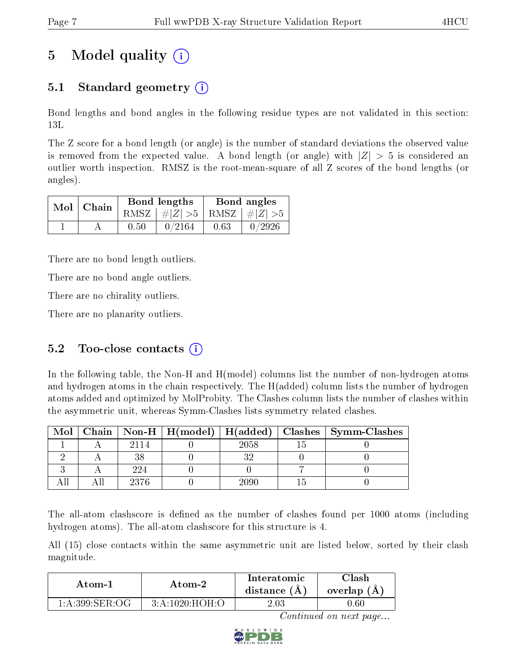## 5 Model quality  $(i)$

## 5.1 Standard geometry  $\overline{()}$

Bond lengths and bond angles in the following residue types are not validated in this section: 13L

The Z score for a bond length (or angle) is the number of standard deviations the observed value is removed from the expected value. A bond length (or angle) with  $|Z| > 5$  is considered an outlier worth inspection. RMSZ is the root-mean-square of all Z scores of the bond lengths (or angles).

| $Mol$   Chain |      | Bond lengths                    | Bond angles |        |  |
|---------------|------|---------------------------------|-------------|--------|--|
|               |      | RMSZ $ #Z  > 5$ RMSZ $ #Z  > 5$ |             |        |  |
|               | 0.50 | 0/2164                          | 0.63        | 0/2926 |  |

There are no bond length outliers.

There are no bond angle outliers.

There are no chirality outliers.

There are no planarity outliers.

### 5.2 Too-close contacts  $(i)$

In the following table, the Non-H and H(model) columns list the number of non-hydrogen atoms and hydrogen atoms in the chain respectively. The H(added) column lists the number of hydrogen atoms added and optimized by MolProbity. The Clashes column lists the number of clashes within the asymmetric unit, whereas Symm-Clashes lists symmetry related clashes.

| Mol |      |      | Chain   Non-H   H(model)   H(added)   Clashes   Symm-Clashes |
|-----|------|------|--------------------------------------------------------------|
|     |      | 2058 |                                                              |
|     |      |      |                                                              |
|     | 224  |      |                                                              |
|     | 2376 |      |                                                              |

The all-atom clashscore is defined as the number of clashes found per 1000 atoms (including hydrogen atoms). The all-atom clashscore for this structure is 4.

All (15) close contacts within the same asymmetric unit are listed below, sorted by their clash magnitude.

| Atom-2             |                | Interatomic    | 7lash      |
|--------------------|----------------|----------------|------------|
| Atom-1             |                | distance $(A)$ | overlap (A |
| $1: A:399:$ SER:OG | 3:A:1020:HOH:O | $2.03\,$       | 1.60       |

Continued on next page...

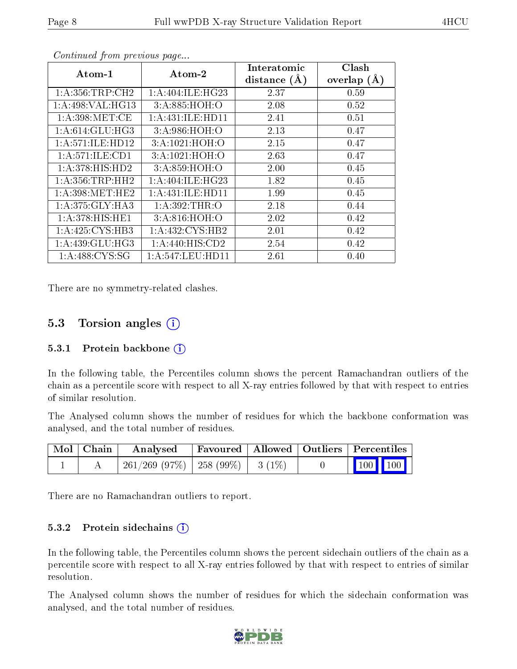| $Atom-1$                     | $\boldsymbol{\mathrm{Atom}\text{-}2}$ | Interatomic    | Clash         |
|------------------------------|---------------------------------------|----------------|---------------|
|                              |                                       | distance $(A)$ | overlap $(A)$ |
| 1: A: 356: TRP: CH2          | 1: A:404: ILE: HG23                   | 2.37           | 0.59          |
| 1:A:498:VAL:H <sub>G13</sub> | 3:A:885:HOH:O                         | 2.08           | 0.52          |
| 1: A:398: MET:CE             | 1: A: 431: ILE: HD11                  | 2.41           | 0.51          |
| 1: A:614: GLU: HG3           | 3:A:986:HOH:O                         | 2.13           | 0.47          |
| 1:A:571:ILE:HD12             | 3:A:1021:HOH:O                        | 2.15           | 0.47          |
| 1:A:571:ILE:CD1              | 3: A: 1021: HOH:O                     | 2.63           | 0.47          |
| 1: A:378: HIS: HD2           | 3:A:859:HOH:O                         | 2.00           | 0.45          |
| 1: A: 356: TRP: HH2          | 1: A:404: ILE: HG23                   | 1.82           | 0.45          |
| 1: A:398: MET:HE2            | 1: A: 431: ILE: HD11                  | 1.99           | 0.45          |
| 1: A:375: GLY:HA3            | 1:A:392:THR:O                         | 2.18           | 0.44          |
| 1:A:378:HIS:HE1              | 3:A:816:HOH:O                         | 2.02           | 0.42          |
| 1:A:425:CYS:HB3              | 1: A: 432: CYS: HB2                   | 2.01           | 0.42          |
| 1: A: 439: GLU: HG3          | 1:A:440:HIS:CD2                       | 2.54           | 0.42          |
| 1: A:488: CYS:SG             | 1: A: 547: LEU: HD11                  | 2.61           | 0.40          |

Continued from previous page...

There are no symmetry-related clashes.

### 5.3 Torsion angles (i)

#### 5.3.1 Protein backbone  $(i)$

In the following table, the Percentiles column shows the percent Ramachandran outliers of the chain as a percentile score with respect to all X-ray entries followed by that with respect to entries of similar resolution.

The Analysed column shows the number of residues for which the backbone conformation was analysed, and the total number of residues.

| Mol   Chain | Analysed                                |  | Favoured   Allowed   Outliers   Percentiles |                     |  |
|-------------|-----------------------------------------|--|---------------------------------------------|---------------------|--|
|             | $261/269$ (97\%)   258 (99\%)   3 (1\%) |  |                                             | $\boxed{100}$ $100$ |  |

There are no Ramachandran outliers to report.

#### 5.3.2 Protein sidechains  $(i)$

In the following table, the Percentiles column shows the percent sidechain outliers of the chain as a percentile score with respect to all X-ray entries followed by that with respect to entries of similar resolution.

The Analysed column shows the number of residues for which the sidechain conformation was analysed, and the total number of residues.

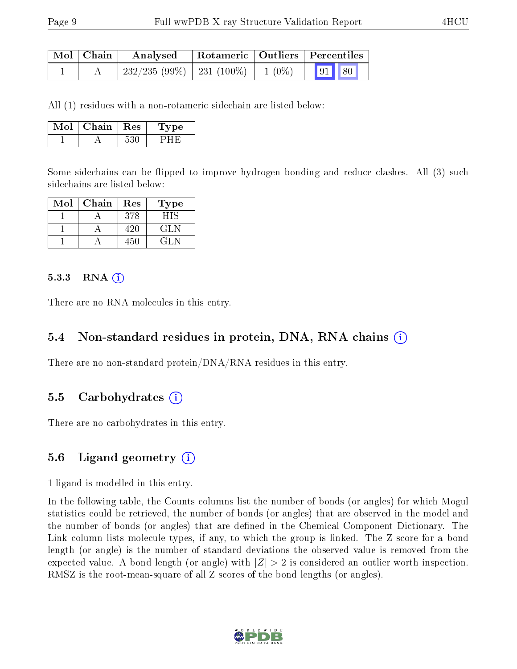| $\mid$ Mol $\mid$ Chain $\mid$ | Analysed                                   |  | Rotameric   Outliers   Percentiles |  |  |  |
|--------------------------------|--------------------------------------------|--|------------------------------------|--|--|--|
|                                | $232/235 (99\%)$ 231 (100\%) 1 (0\%) 91 80 |  |                                    |  |  |  |

All (1) residues with a non-rotameric sidechain are listed below:

| Mol | Chain   Res |     | <b>Type</b> |
|-----|-------------|-----|-------------|
|     |             | こりし |             |

Some sidechains can be flipped to improve hydrogen bonding and reduce clashes. All (3) such sidechains are listed below:

| Mol | Chain | Res   | Type      |
|-----|-------|-------|-----------|
|     |       | 378   | 9 I.S     |
|     |       | 1')II | 71 N      |
|     |       | 45C   | . 41 . IN |

#### $5.3.3$  RNA  $(i)$

There are no RNA molecules in this entry.

#### 5.4 Non-standard residues in protein, DNA, RNA chains  $(i)$

There are no non-standard protein/DNA/RNA residues in this entry.

#### 5.5 Carbohydrates  $(i)$

There are no carbohydrates in this entry.

#### 5.6 Ligand geometry  $(i)$

1 ligand is modelled in this entry.

In the following table, the Counts columns list the number of bonds (or angles) for which Mogul statistics could be retrieved, the number of bonds (or angles) that are observed in the model and the number of bonds (or angles) that are defined in the Chemical Component Dictionary. The Link column lists molecule types, if any, to which the group is linked. The Z score for a bond length (or angle) is the number of standard deviations the observed value is removed from the expected value. A bond length (or angle) with  $|Z| > 2$  is considered an outlier worth inspection. RMSZ is the root-mean-square of all Z scores of the bond lengths (or angles).

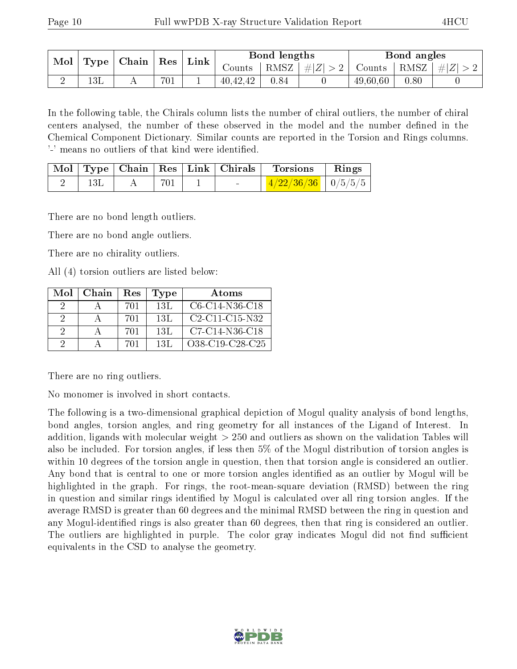| Mol |                                                      |     |                      | $^{\shortmid}$ Link |          | Bond lengths |                                                                              | Bond angles |  |
|-----|------------------------------------------------------|-----|----------------------|---------------------|----------|--------------|------------------------------------------------------------------------------|-------------|--|
|     | $\mid$ Chain $\mid$ Res $\mid$<br>$\mid$ Type $\mid$ |     | $\sim$ ounts $\perp$ |                     |          |              | $\mid$ RMSZ $\mid \#  Z  > 2 \mid$ Counts $\mid$ RMSZ $\mid \#  Z  > 2 \mid$ |             |  |
|     | 13L                                                  | 4 L | 701                  |                     | 40,42,42 | 0.84         | 49,60,60                                                                     | 0.80        |  |

In the following table, the Chirals column lists the number of chiral outliers, the number of chiral centers analysed, the number of these observed in the model and the number defined in the Chemical Component Dictionary. Similar counts are reported in the Torsion and Rings columns. '-' means no outliers of that kind were identified.

|  |     | Mol   Type   Chain   Res   Link   Chirals | Torsions                     | Rings |
|--|-----|-------------------------------------------|------------------------------|-------|
|  | 701 | $\sim$                                    | $\frac{4/22/36/36}{9/5/5/5}$ |       |

There are no bond length outliers.

There are no bond angle outliers.

There are no chirality outliers.

All (4) torsion outliers are listed below:

| Mol | Chain | Res | Type | Atoms            |
|-----|-------|-----|------|------------------|
|     |       | 701 | -13L | $C6-C14-N36-C18$ |
| 9   |       | 701 | -13L | $C2-C11-C15-N32$ |
| -9  |       | 701 | 13L  | $C7-C14-N36-C18$ |
|     |       | 701 | 13L  | O38-C19-C28-C25  |

There are no ring outliers.

No monomer is involved in short contacts.

The following is a two-dimensional graphical depiction of Mogul quality analysis of bond lengths, bond angles, torsion angles, and ring geometry for all instances of the Ligand of Interest. In addition, ligands with molecular weight > 250 and outliers as shown on the validation Tables will also be included. For torsion angles, if less then 5% of the Mogul distribution of torsion angles is within 10 degrees of the torsion angle in question, then that torsion angle is considered an outlier. Any bond that is central to one or more torsion angles identified as an outlier by Mogul will be highlighted in the graph. For rings, the root-mean-square deviation (RMSD) between the ring in question and similar rings identified by Mogul is calculated over all ring torsion angles. If the average RMSD is greater than 60 degrees and the minimal RMSD between the ring in question and any Mogul-identified rings is also greater than 60 degrees, then that ring is considered an outlier. The outliers are highlighted in purple. The color gray indicates Mogul did not find sufficient equivalents in the CSD to analyse the geometry.

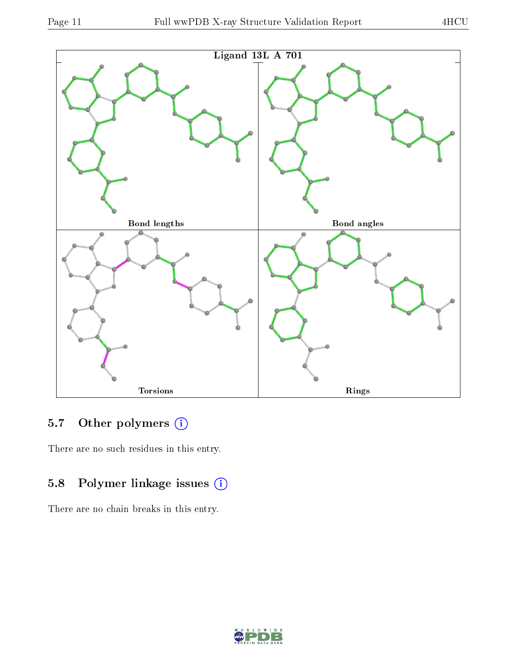

## 5.7 [O](https://www.wwpdb.org/validation/2017/XrayValidationReportHelp#nonstandard_residues_and_ligands)ther polymers (i)

There are no such residues in this entry.

## 5.8 Polymer linkage issues (i)

There are no chain breaks in this entry.

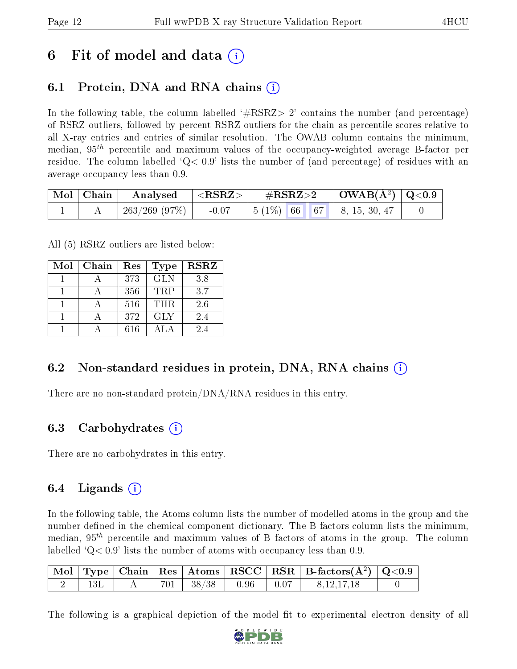## 6 Fit of model and data  $\left( \cdot \right)$

## 6.1 Protein, DNA and RNA chains (i)

In the following table, the column labelled  $#RSRZ>2'$  contains the number (and percentage) of RSRZ outliers, followed by percent RSRZ outliers for the chain as percentile scores relative to all X-ray entries and entries of similar resolution. The OWAB column contains the minimum, median,  $95<sup>th</sup>$  percentile and maximum values of the occupancy-weighted average B-factor per residue. The column labelled  $Q < 0.9$  lists the number of (and percentage) of residues with an average occupancy less than 0.9.

| Mol   Chain | $\perp$ Analysed $\parallel$ | $  <$ RSRZ $>$ $ $ | $\rm \#RSRZ{>}2$                                                                                  | $\vert$ OWAB( $\rm \AA^2)$ $\vert$ Q<0.9 $\vert$ |  |
|-------------|------------------------------|--------------------|---------------------------------------------------------------------------------------------------|--------------------------------------------------|--|
|             | 263/269 (97%)                | $-0.07$            | $\begin{array}{ c c c c c c c c c } \hline 5 & (1\%) & 66 & 67 & 8,15,30,47 \ \hline \end{array}$ |                                                  |  |

All (5) RSRZ outliers are listed below:

| Mol | Chain | Res | <b>Type</b> | <b>RSRZ</b> |
|-----|-------|-----|-------------|-------------|
|     |       | 373 | <b>GLN</b>  | 3.8         |
|     |       | 356 | <b>TRP</b>  | 3.7         |
|     |       | 516 | <b>THR</b>  | 2.6         |
|     |       | 372 | <b>GLY</b>  | 2.4         |
|     |       | 616 |             | 24          |

### 6.2 Non-standard residues in protein, DNA, RNA chains (i)

There are no non-standard protein/DNA/RNA residues in this entry.

#### 6.3 Carbohydrates (i)

There are no carbohydrates in this entry.

## 6.4 Ligands  $(i)$

In the following table, the Atoms column lists the number of modelled atoms in the group and the number defined in the chemical component dictionary. The B-factors column lists the minimum, median,  $95<sup>th</sup>$  percentile and maximum values of B factors of atoms in the group. The column labelled  $Q< 0.9$ ' lists the number of atoms with occupancy less than 0.9.

|  |  |                                   |  | $\boxed{\text{ Mol}}$ Type   Chain   Res   Atoms $\boxed{\text{RSCC}}$   RSR   B-factors( $\AA^2$ )   Q<0.9 |  |
|--|--|-----------------------------------|--|-------------------------------------------------------------------------------------------------------------|--|
|  |  | $701$   $38/38$   $0.96$   $0.07$ |  | 8, 12, 17, 18                                                                                               |  |

The following is a graphical depiction of the model fit to experimental electron density of all